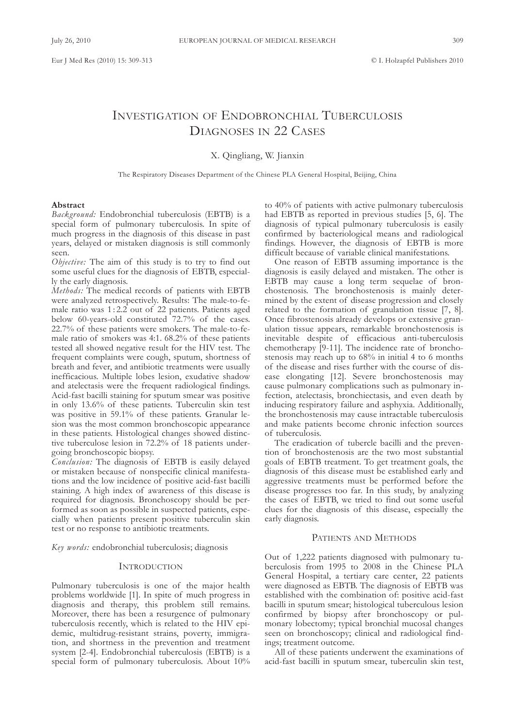# INVESTIGATION OF ENDOBRONCHIAL TUBERCULOSIS DIAGNOSES IN 22 CASES

X. Qingliang, W. Jianxin

The Respiratory Diseases Department of the Chinese PLA General Hospital, Beijing, China

## **Abstract**

*Background:* Endobronchial tuberculosis (EBTB) is a special form of pulmonary tuberculosis. In spite of much progress in the diagnosis of this disease in past years, delayed or mistaken diagnosis is still commonly seen.

*Objective:* The aim of this study is to try to find out some useful clues for the diagnosis of EBTB, especially the early diagnosis.

*Methods:* The medical records of patients with EBTB were analyzed retrospectively. Results: The male-to-female ratio was 1 : 2.2 out of 22 patients. Patients aged below 60-years-old constituted 72.7% of the cases. 22.7% of these patients were smokers. The male-to-female ratio of smokers was 4:1. 68.2% of these patients tested all showed negative result for the HIV test. The frequent complaints were cough, sputum, shortness of breath and fever, and antibiotic treatments were usually inefficacious. Multiple lobes lesion, exudative shadow and atelectasis were the frequent radiological findings. acid-fast bacilli staining for sputum smear was positive in only 13.6% of these patients. Tuberculin skin test was positive in 59.1% of these patients. Granular lesion was the most common bronchoscopic appearance in these patients. Histological changes showed distinctive tuberculose lesion in 72.2% of 18 patients undergoing bronchoscopic biopsy.

*Conclusion:* The diagnosis of EBTB is easily delayed or mistaken because of nonspecific clinical manifestations and the low incidence of positive acid-fast bacilli staining. A high index of awareness of this disease is required for diagnosis. bronchoscopy should be performed as soon as possible in suspected patients, especially when patients present positive tuberculin skin test or no response to antibiotic treatments.

*Key words:* endobronchial tuberculosis; diagnosis

#### **INTRODUCTION**

Pulmonary tuberculosis is one of the major health problems worldwide [1]. In spite of much progress in diagnosis and therapy, this problem still remains. Moreover, there has been a resurgence of pulmonary tuberculosis recently, which is related to the HIv epidemic, multidrug-resistant strains, poverty, immigration, and shortness in the prevention and treatment system  $[2-4]$ . Endobronchial tuberculosis  $(EBTB)$  is a special form of pulmonary tuberculosis. about 10%

to 40% of patients with active pulmonary tuberculosis had EBTB as reported in previous studies [5, 6]. The diagnosis of typical pulmonary tuberculosis is easily confirmed by bacteriological means and radiological findings. However, the diagnosis of EBTB is more difficult because of variable clinical manifestations.

One reason of EBTB assuming importance is the diagnosis is easily delayed and mistaken. The other is EBTB may cause a long term sequelae of bronchostenosis. The bronchostenosis is mainly determined by the extent of disease progression and closely related to the formation of granulation tissue [7, 8]. Once fibrostenosis already develops or extensive granulation tissue appears, remarkable bronchostenosis is inevitable despite of efficacious anti-tuberculosis chemotherapy [9-11]. The incidence rate of bronchostenosis may reach up to 68% in initial 4 to 6 months of the disease and rises further with the course of disease elongating [12]. Severe bronchostenosis may cause pulmonary complications such as pulmonary infection, atelectasis, bronchiectasis, and even death by inducing respiratory failure and asphyxia. Additionally, the bronchostenosis may cause intractable tuberculosis and make patients become chronic infection sources of tuberculosis.

The eradication of tubercle bacilli and the prevention of bronchostenosis are the two most substantial goals of EBTB treatment. To get treatment goals, the diagnosis of this disease must be established early and aggressive treatments must be performed before the disease progresses too far. In this study, by analyzing the cases of EBTB, we tried to find out some useful clues for the diagnosis of this disease, especially the early diagnosis.

## PATIENTS AND METHODS

Out of 1,222 patients diagnosed with pulmonary tuberculosis from 1995 to 2008 in the Chinese PLA General Hospital, a tertiary care center, 22 patients were diagnosed as EBTB. The diagnosis of EBTB was established with the combination of: positive acid-fast bacilli in sputum smear; histological tuberculous lesion confirmed by biopsy after bronchoscopy or pulmonary lobectomy; typical bronchial mucosal changes seen on bronchoscopy; clinical and radiological findings; treatment outcome.

all of these patients underwent the examinations of acid-fast bacilli in sputum smear, tuberculin skin test,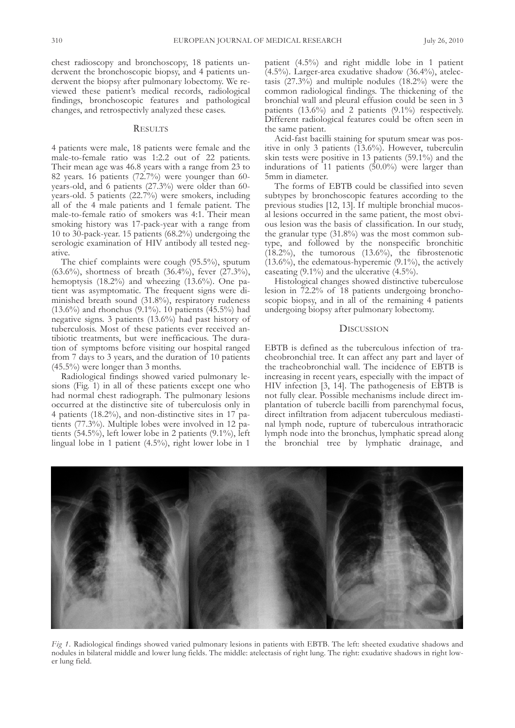chest radioscopy and bronchoscopy, 18 patients underwent the bronchoscopic biopsy, and 4 patients underwent the biopsy after pulmonary lobectomy. We reviewed these patient's medical records, radiological findings, bronchoscopic features and pathological changes, and retrospectivly analyzed these cases.

## **RESULTS**

4 patients were male, 18 patients were female and the male-to-female ratio was 1:2.2 out of 22 patients. Their mean age was 46.8 years with a range from 23 to 82 years. 16 patients (72.7%) were younger than 60 years-old, and 6 patients (27.3%) were older than 60 years-old. 5 patients (22.7%) were smokers, including all of the 4 male patients and 1 female patient. The male-to-female ratio of smokers was 4:1. Their mean smoking history was 17-pack-year with a range from 10 to 30-pack-year. 15 patients (68.2%) undergoing the serologic examination of HIv antibody all tested negative.

The chief complaints were cough (95.5%), sputum (63.6%), shortness of breath (36.4%), fever (27.3%), hemoptysis  $(18.2%)$  and wheezing  $(13.6%)$ . One patient was asymptomatic. The frequent signs were diminished breath sound (31.8%), respiratory rudeness (13.6%) and rhonchus (9.1%). 10 patients (45.5%) had negative signs. 3 patients (13.6%) had past history of tuberculosis. Most of these patients ever received antibiotic treatments, but were inefficacious. The duration of symptoms before visiting our hospital ranged from 7 days to 3 years, and the duration of 10 patients (45.5%) were longer than 3 months.

Radiological findings showed varied pulmonary lesions (Fig. 1) in all of these patients except one who had normal chest radiograph. The pulmonary lesions occurred at the distinctive site of tuberculosis only in 4 patients (18.2%), and non-distinctive sites in 17 patients (77.3%). Multiple lobes were involved in 12 patients (54.5%), left lower lobe in 2 patients (9.1%), left lingual lobe in 1 patient (4.5%), right lower lobe in 1

patient (4.5%) and right middle lobe in 1 patient  $(4.5\%)$ . Larger-area exudative shadow  $(36.4\%)$ , atelectasis (27.3%) and multiple nodules (18.2%) were the common radiological findings. The thickening of the bronchial wall and pleural effusion could be seen in 3 patients (13.6%) and 2 patients (9.1%) respectively. Different radiological features could be often seen in the same patient.

acid-fast bacilli staining for sputum smear was positive in only 3 patients (13.6%). However, tuberculin skin tests were positive in 13 patients (59.1%) and the indurations of 11 patients (50.0%) were larger than 5mm in diameter.

The forms of EBTB could be classified into seven subtypes by bronchoscopic features according to the previous studies [12, 13]. If multiple bronchial mucosal lesions occurred in the same patient, the most obvious lesion was the basis of classification. In our study, the granular type (31.8%) was the most common subtype, and followed by the nonspecific bronchitic (18.2%), the tumorous (13.6%), the fibrostenotic  $(13.6\%)$ , the edematous-hyperemic  $(9.1\%)$ , the actively caseating (9.1%) and the ulcerative (4.5%).

Histological changes showed distinctive tuberculose lesion in 72.2% of 18 patients undergoing bronchoscopic biopsy, and in all of the remaining 4 patients undergoing biopsy after pulmonary lobectomy.

## **DISCUSSION**

EBTB is defined as the tuberculous infection of tracheobronchial tree. It can affect any part and layer of the tracheobronchial wall. The incidence of EBTB is increasing in recent years, especially with the impact of HIV infection  $[3, 14]$ . The pathogenesis of EBTB is not fully clear. Possible mechanisms include direct implantation of tubercle bacilli from parenchymal focus, direct infiltration from adjacent tuberculous mediastinal lymph node, rupture of tuberculous intrathoracic lymph node into the bronchus, lymphatic spread along the bronchial tree by lymphatic drainage, and

*Fig* 1. Radiological findings showed varied pulmonary lesions in patients with EBTB. The left: sheeted exudative shadows and nodules in bilateral middle and lower lung fields. the middle: atelectasis of right lung. the right: exudative shadows in right lower lung field.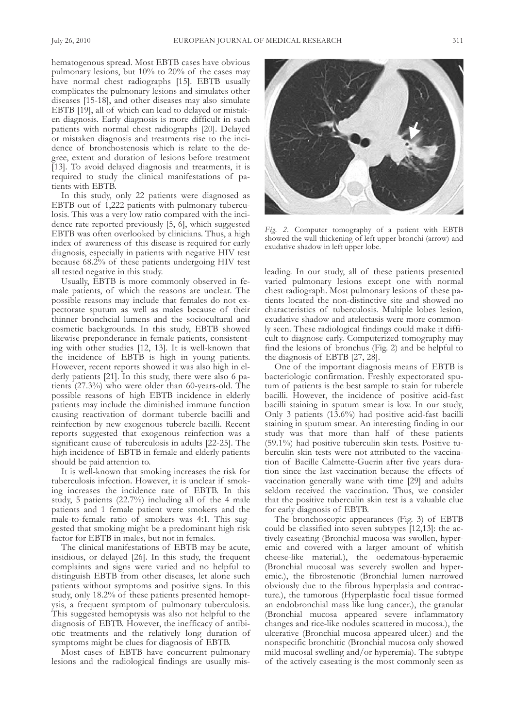hematogenous spread. Most EBTB cases have obvious pulmonary lesions, but 10% to 20% of the cases may have normal chest radiographs [15]. EBTB usually complicates the pulmonary lesions and simulates other diseases [15-18], and other diseases may also simulate EBTB [19], all of which can lead to delayed or mistaken diagnosis. Early diagnosis is more difficult in such patients with normal chest radiographs [20]. Delayed or mistaken diagnosis and treatments rise to the incidence of bronchostenosis which is relate to the degree, extent and duration of lesions before treatment [13]. To avoid delayed diagnosis and treatments, it is required to study the clinical manifestations of patients with EBTB.

In this study, only 22 patients were diagnosed as EBTB out of 1,222 patients with pulmonary tuberculosis. This was a very low ratio compared with the incidence rate reported previously [5, 6], which suggested EBTB was often overlooked by clinicians. Thus, a high index of awareness of this disease is required for early diagnosis, especially in patients with negative HIv test because 68.2% of these patients undergoing HIv test all tested negative in this study.

Usually, EBTB is more commonly observed in female patients, of which the reasons are unclear. The possible reasons may include that females do not expectorate sputum as well as males because of their thinner bronchcial lumens and the sociocultural and cosmetic backgrounds. In this study, EBTB showed likewise preponderance in female patients, consistenting with other studies [12, 13]. It is well-known that the incidence of EBTB is high in young patients. However, recent reports showed it was also high in elderly patients [21]. In this study, there were also 6 patients  $(27.3\%)$  who were older than 60-years-old. The possible reasons of high EBTB incidence in elderly patients may include the diminished immune function causing reactivation of dormant tubercle bacilli and reinfection by new exogenous tubercle bacilli. Recent reports suggested that exogenous reinfection was a significant cause of tuberculosis in adults [22-25]. The high incidence of EBTB in female and elderly patients should be paid attention to.

It is well-known that smoking increases the risk for tuberculosis infection. However, it is unclear if smoking increases the incidence rate of EBTB. In this study, 5 patients (22.7%) including all of the 4 male patients and 1 female patient were smokers and the male-to-female ratio of smokers was 4:1. This suggested that smoking might be a predominant high risk factor for EBTB in males, but not in females.

The clinical manifestations of EBTB may be acute, insidious, or delayed [26]. In this study, the frequent complaints and signs were varied and no helpful to distinguish EBTB from other diseases, let alone such patients without symptoms and positive signs. In this study, only 18.2% of these patients presented hemoptysis, a frequent symptom of pulmonary tuberculosis. This suggested hemoptysis was also not helpful to the diagnosis of EBTB. However, the inefficacy of antibiotic treatments and the relatively long duration of symptoms might be clues for diagnosis of EBTB.

Most cases of EBTB have concurrent pulmonary lesions and the radiological findings are usually mis-



*Fig.* 2. Computer tomography of a patient with EBTB showed the wall thickening of left upper bronchi (arrow) and exudative shadow in left upper lobe.

leading. In our study, all of these patients presented varied pulmonary lesions except one with normal chest radiograph. Most pulmonary lesions of these patients located the non-distinctive site and showed no characteristics of tuberculosis. Multiple lobes lesion, exudative shadow and atelectasis were more commonly seen. These radiological findings could make it difficult to diagnose early. Computerized tomography may find the lesions of bronchus (fig. 2) and be helpful to the diagnosis of EBTB [27, 28].

One of the important diagnosis means of EBTB is bacteriologic confirmation. freshly expectorated sputum of patients is the best sample to stain for tubercle bacilli. However, the incidence of positive acid-fast bacilli staining in sputum smear is low. In our study, Only 3 patients (13.6%) had positive acid-fast bacilli staining in sputum smear. An interesting finding in our study was that more than half of these patients (59.1%) had positive tuberculin skin tests. Positive tuberculin skin tests were not attributed to the vaccination of Bacille Calmette-Guerin after five years duration since the last vaccination because the effects of vaccination generally wane with time [29] and adults seldom received the vaccination. Thus, we consider that the positive tuberculin skin test is a valuable clue for early diagnosis of EBTB.

The bronchoscopic appearances (Fig. 3) of EBTB could be classified into seven subtypes [12,13]: the actively caseating (Bronchial mucosa was swollen, hyperemic and covered with a larger amount of whitish cheese-like material.), the oedematous-hyperaemic (bronchial mucosal was severely swollen and hyperemic.), the fibrostenotic (Bronchial lumen narrowed obviously due to the fibrous hyperplasia and contracture.), the tumorous (Hyperplastic focal tissue formed an endobronchial mass like lung cancer.), the granular (bronchial mucosa appeared severe inflammatory changes and rice-like nodules scattered in mucosa.), the ulcerative (bronchial mucosa appeared ulcer.) and the nonspecific bronchitic (bronchial mucosa only showed mild mucosal swelling and/or hyperemia). The subtype of the actively caseating is the most commonly seen as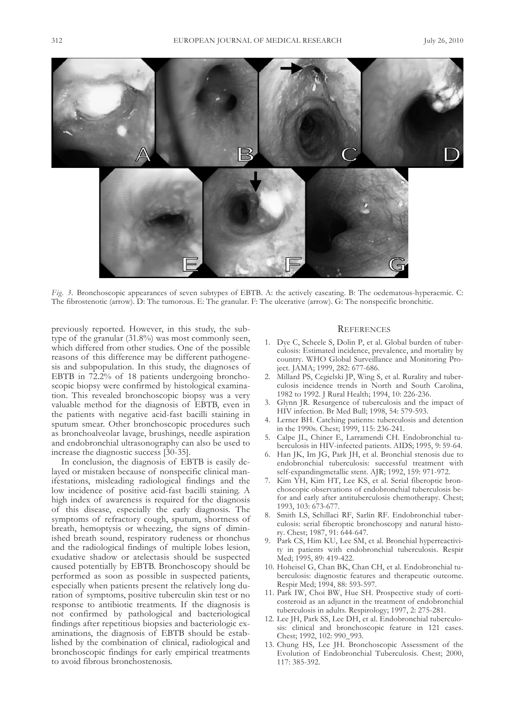

*Fig.* 3. Bronchoscopic appearances of seven subtypes of EBTB. A: the actively caseating. B: The oedematous-hyperaemic. C: The fibrostenotic (arrow). D: The tumorous. E: The granular. F: The ulcerative (arrow). G: The nonspecific bronchitic.

previously reported. However, in this study, the subtype of the granular (31.8%) was most commonly seen, which differed from other studies. One of the possible reasons of this difference may be different pathogenesis and subpopulation. In this study, the diagnoses of EBTB in 72.2% of 18 patients undergoing bronchoscopic biopsy were confirmed by histological examination. This revealed bronchoscopic biopsy was a very valuable method for the diagnosis of EBTB, even in the patients with negative acid-fast bacilli staining in sputum smear. Other bronchoscopic procedures such as bronchoalveolar lavage, brushings, needle aspiration and endobronchial ultrasonography can also be used to increase the diagnostic success [30-35].

In conclusion, the diagnosis of EBTB is easily delayed or mistaken because of nonspecific clinical manifestations, misleading radiological findings and the low incidence of positive acid-fast bacilli staining. A high index of awareness is required for the diagnosis of this disease, especially the early diagnosis. The symptoms of refractory cough, sputum, shortness of breath, hemoptysis or wheezing, the signs of diminished breath sound, respiratory rudeness or rhonchus and the radiological findings of multiple lobes lesion, exudative shadow or atelectasis should be suspected caused potentially by EBTB. Bronchoscopy should be performed as soon as possible in suspected patients, especially when patients present the relatively long duration of symptoms, positive tuberculin skin test or no response to antibiotic treatments. If the diagnosis is not confirmed by pathological and bacteriological findings after repetitious biopsies and bacteriologic examinations, the diagnosis of EBTB should be established by the combination of clinical, radiological and bronchoscopic findings for early empirical treatments to avoid fibrous bronchostenosis.

## **REFERENCES**

- 1. Dye C, Scheele S, Dolin P, et al. Global burden of tuberculosis: Estimated incidence, prevalence, and mortality by country. WHo global surveillance and Monitoring Project. JaMa; 1999, 282: 677-686.
- 2. Millard PS, Cegielski JP, Wing S, et al. Rurality and tuberculosis incidence trends in North and South Carolina, 1982 to 1992. J Rural Health; 1994, 10: 226-236.
- 3. glynn JR. Resurgence of tuberculosis and the impact of HIv infection. br Med bull; 1998, 54: 579-593.
- 4. lerner bH. catching patients: tuberculosis and detention in the 1990s. chest; 1999, 115: 236-241.
- 5. calpe Jl, chiner E, larramendi cH. Endobronchial tuberculosis in HIV-infected patients. AIDS; 1995, 9: 59-64.
- 6. Han JK, Im Jg, Park JH, et al. bronchial stenosis due to endobronchial tuberculosis: successful treatment with self-expandingmetallic stent. aJR; 1992, 159: 971-972.
- 7. Kim YH, Kim Ht, lee Ks, et al. serial fiberoptic bronchoscopic observations of endobronchial tuberculosis befor and early after antituberculosis chemotherapy. chest; 1993, 103: 673-677.
- 8. Smith LS, Schillaci RF, Sarlin RF. Endobronchial tuberculosis: serial fiberoptic bronchoscopy and natural history. chest; 1987, 91: 644-647.
- 9. Park cs, Him Ku, lee sM, et al. bronchial hyperreactivity in patients with endobronchial tuberculosis. Respir Med; 1995, 89: 419-422.
- 10. Hoheisel G, Chan BK, Chan CH, et al. Endobronchial tuberculosis: diagnostic features and therapeutic outcome. Respir Med; 1994, 88: 593-597.
- 11. Park IW, choi bW, Hue sH. Prospective study of corticosteroid as an adjunct in the treatment of endobronchial tuberculosis in adults. Respirology; 1997, 2: 275-281.
- 12. Lee JH, Park SS, Lee DH, et al. Endobronchial tuberculosis: clinical and bronchoscopic feature in 121 cases. chest; 1992, 102: 990\_993.
- 13. chung Hs, lee JH. bronchoscopic assessment of the Evolution of Endobronchial Tuberculosis. Chest; 2000, 117: 385-392.